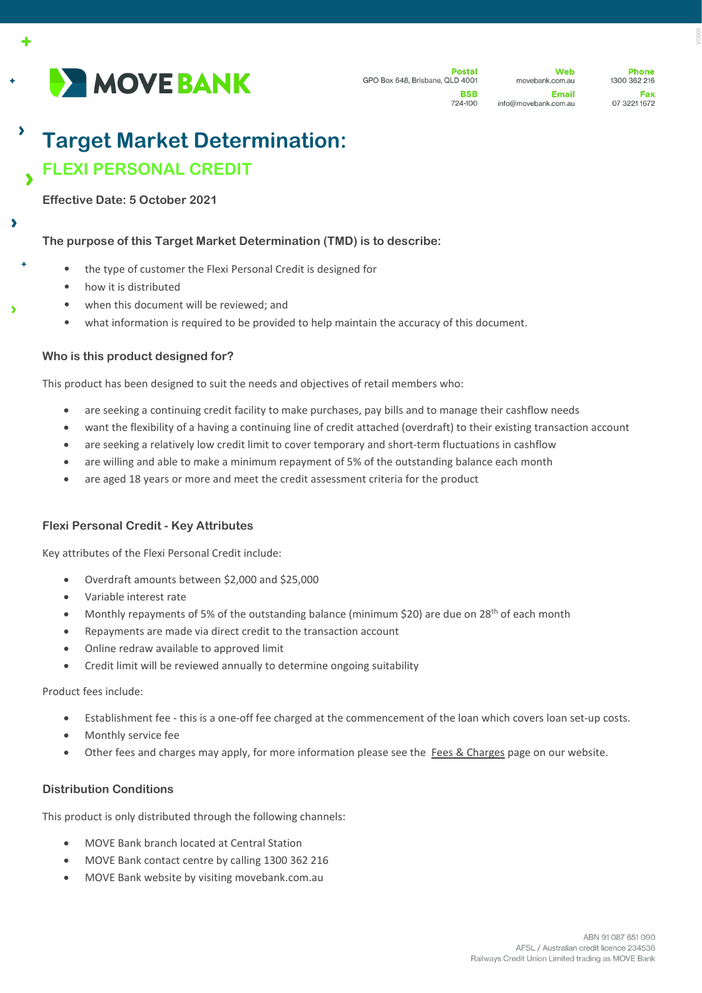

 $\ddot{\bullet}$ 

 $\overline{\phantom{a}}$ 

Web movebank.com.au Email info@movebank.com.au

**Phone** 1300 362 216 Fax 07 3221 1672

# $\overline{\phantom{a}}$ **Target Market Determination: FLEXI PERSONAL CREDIT**

#### **Effective Date: 5 October 2021**

## **The purpose of this Target Market Determination (TMD) is to describe:**

- the type of customer the Flexi Personal Credit is designed for
- how it is distributed
- when this document will be reviewed; and
- what information is required to be provided to help maintain the accuracy of this document.

## **Who is this product designed for?**

This product has been designed to suit the needs and objectives of retail members who:

- are seeking a continuing credit facility to make purchases, pay bills and to manage their cashflow needs
- want the flexibility of a having a continuing line of credit attached (overdraft) to their existing transaction account
- are seeking a relatively low credit limit to cover temporary and short-term fluctuations in cashflow
- are willing and able to make a minimum repayment of 5% of the outstanding balance each month
- are aged 18 years or more and meet the credit assessment criteria for the product

## **Flexi Personal Credit - Key Attributes**

Key attributes of the Flexi Personal Credit include:

- Overdraft amounts between \$2,000 and \$25,000
- Variable interest rate
- Monthly repayments of 5% of the outstanding balance (minimum \$20) are due on 28th of each month
- Repayments are made via direct credit to the transaction account
- Online redraw available to approved limit
- Credit limit will be reviewed annually to determine ongoing suitability

Product fees include:

- Establishment fee this is a one-off fee charged at the commencement of the loan which covers loan set-up costs.
- Monthly service fee
- Other fees and charges may apply, for more information please see the [Fees & Charges](https://movebank.com.au/quick-links/fees-charges/) page on our website.

## **Distribution Conditions**

This product is only distributed through the following channels:

- MOVE Bank branch located at Central Station
- MOVE Bank contact centre by calling 1300 362 216
- MOVE Bank website by visiting movebank.com.au